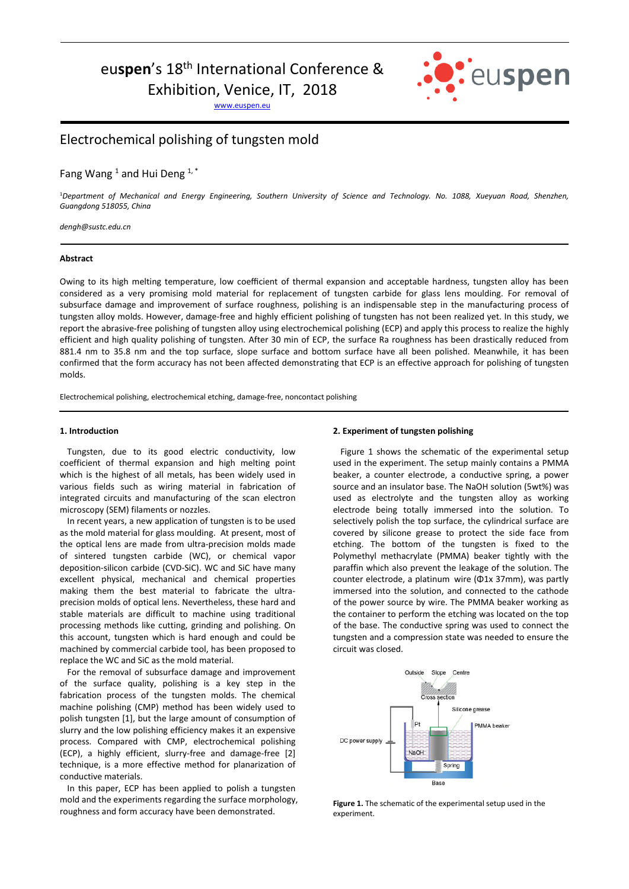# euspen's 18<sup>th</sup> International Conference &

Exhibition, Venice, IT, 2018

www.euspen.eu



## Electrochemical polishing of tungsten mold

### Fang Wang<sup>1</sup> and Hui Deng<sup>1,\*</sup>

<sup>1</sup>*Department of Mechanical and Energy Engineering, Southern University of Science and Technology. No. 1088, Xueyuan Road, Shenzhen, Guangdong 518055, China* 

*dengh@sustc.edu.cn* 

#### **Abstract**

Owing to its high melting temperature, low coefficient of thermal expansion and acceptable hardness, tungsten alloy has been considered as a very promising mold material for replacement of tungsten carbide for glass lens moulding. For removal of subsurface damage and improvement of surface roughness, polishing is an indispensable step in the manufacturing process of tungsten alloy molds. However, damage-free and highly efficient polishing of tungsten has not been realized yet. In this study, we report the abrasive-free polishing of tungsten alloy using electrochemical polishing (ECP) and apply this process to realize the highly efficient and high quality polishing of tungsten. After 30 min of ECP, the surface Ra roughness has been drastically reduced from 881.4 nm to 35.8 nm and the top surface, slope surface and bottom surface have all been polished. Meanwhile, it has been confirmed that the form accuracy has not been affected demonstrating that ECP is an effective approach for polishing of tungsten molds.

Electrochemical polishing, electrochemical etching, damage-free, noncontact polishing

#### **1. Introduction**

Tungsten, due to its good electric conductivity, low coefficient of thermal expansion and high melting point which is the highest of all metals, has been widely used in various fields such as wiring material in fabrication of integrated circuits and manufacturing of the scan electron microscopy (SEM) filaments or nozzles.

In recent years, a new application of tungsten is to be used as the mold material for glass moulding. At present, most of the optical lens are made from ultra-precision molds made of sintered tungsten carbide (WC), or chemical vapor deposition-silicon carbide (CVD-SiC). WC and SiC have many excellent physical, mechanical and chemical properties making them the best material to fabricate the ultraprecision molds of optical lens. Nevertheless, these hard and stable materials are difficult to machine using traditional processing methods like cutting, grinding and polishing. On this account, tungsten which is hard enough and could be machined by commercial carbide tool, has been proposed to replace the WC and SiC as the mold material.

For the removal of subsurface damage and improvement of the surface quality, polishing is a key step in the fabrication process of the tungsten molds. The chemical machine polishing (CMP) method has been widely used to polish tungsten [1], but the large amount of consumption of slurry and the low polishing efficiency makes it an expensive process. Compared with CMP, electrochemical polishing (ECP), a highly efficient, slurry-free and damage-free [2] technique, is a more effective method for planarization of conductive materials.

In this paper, ECP has been applied to polish a tungsten mold and the experiments regarding the surface morphology, roughness and form accuracy have been demonstrated.

#### **2. Experiment of tungsten polishing**

Figure 1 shows the schematic of the experimental setup used in the experiment. The setup mainly contains a PMMA beaker, a counter electrode, a conductive spring, a power source and an insulator base. The NaOH solution (5wt%) was used as electrolyte and the tungsten alloy as working electrode being totally immersed into the solution. To selectively polish the top surface, the cylindrical surface are covered by silicone grease to protect the side face from etching. The bottom of the tungsten is fixed to the Polymethyl methacrylate (PMMA) beaker tightly with the paraffin which also prevent the leakage of the solution. The counter electrode, a platinum wire (Φ1x 37mm), was partly immersed into the solution, and connected to the cathode of the power source by wire. The PMMA beaker working as the container to perform the etching was located on the top of the base. The conductive spring was used to connect the tungsten and a compression state was needed to ensure the circuit was closed.



**Figure 1.** The schematic of the experimental setup used in the experiment.